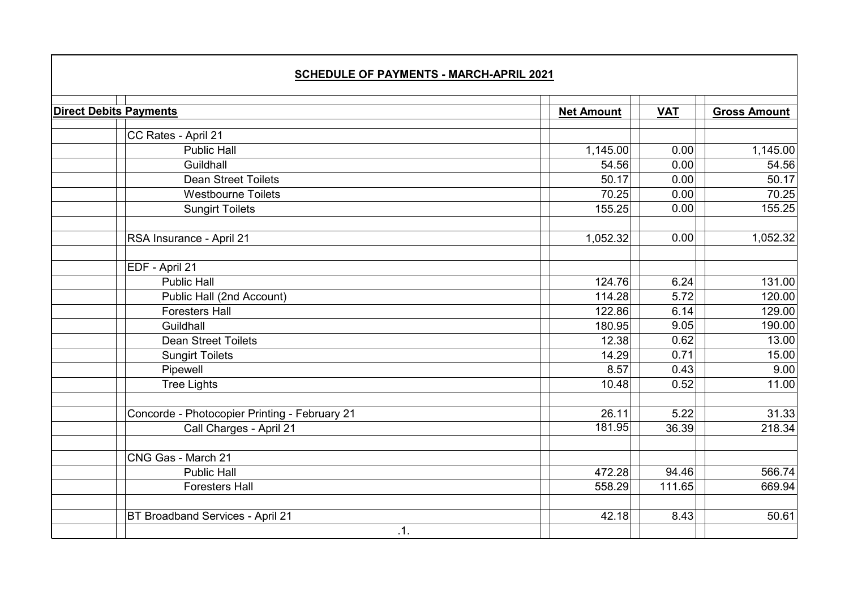| <b>SCHEDULE OF PAYMENTS - MARCH-APRIL 2021</b> |                   |            |                     |  |
|------------------------------------------------|-------------------|------------|---------------------|--|
| <b>Direct Debits Payments</b>                  | <b>Net Amount</b> | <b>VAT</b> | <b>Gross Amount</b> |  |
| CC Rates - April 21                            |                   |            |                     |  |
| <b>Public Hall</b>                             | 1,145.00          | 0.00       | 1,145.00            |  |
| Guildhall                                      | 54.56             | 0.00       | 54.56               |  |
| <b>Dean Street Toilets</b>                     | 50.17             | 0.00       | 50.17               |  |
| <b>Westbourne Toilets</b>                      | 70.25             | 0.00       | 70.25               |  |
| <b>Sungirt Toilets</b>                         | 155.25            | 0.00       | 155.25              |  |
| RSA Insurance - April 21                       | 1,052.32          | 0.00       | 1,052.32            |  |
| EDF - April 21                                 |                   |            |                     |  |
| <b>Public Hall</b>                             | 124.76            | 6.24       | 131.00              |  |
| Public Hall (2nd Account)                      | 114.28            | 5.72       | 120.00              |  |
| <b>Foresters Hall</b>                          | 122.86            | 6.14       | 129.00              |  |
| Guildhall                                      | 180.95            | 9.05       | 190.00              |  |
| <b>Dean Street Toilets</b>                     | 12.38             | 0.62       | 13.00               |  |
| <b>Sungirt Toilets</b>                         | 14.29             | 0.71       | 15.00               |  |
| Pipewell                                       | 8.57              | 0.43       | 9.00                |  |
| <b>Tree Lights</b>                             | 10.48             | 0.52       | 11.00               |  |
| Concorde - Photocopier Printing - February 21  | 26.11             | 5.22       | 31.33               |  |
| Call Charges - April 21                        | 181.95            | 36.39      | 218.34              |  |
| CNG Gas - March 21                             |                   |            |                     |  |
| <b>Public Hall</b>                             | 472.28            | 94.46      | 566.74              |  |
| <b>Foresters Hall</b>                          | 558.29            | 111.65     | 669.94              |  |
| BT Broadband Services - April 21               | 42.18             | 8.43       | 50.61               |  |
| .1.                                            |                   |            |                     |  |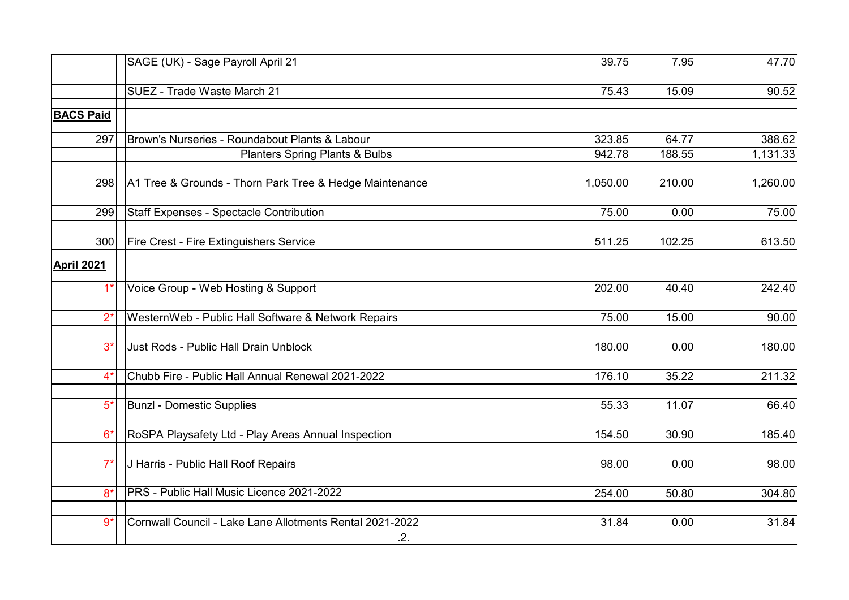|                  | SAGE (UK) - Sage Payroll April 21                        | 39.75    | 7.95   | 47.70    |
|------------------|----------------------------------------------------------|----------|--------|----------|
|                  | SUEZ - Trade Waste March 21                              | 75.43    | 15.09  | 90.52    |
|                  |                                                          |          |        |          |
| <b>BACS Paid</b> |                                                          |          |        |          |
| 297              | Brown's Nurseries - Roundabout Plants & Labour           | 323.85   | 64.77  | 388.62   |
|                  | <b>Planters Spring Plants &amp; Bulbs</b>                | 942.78   | 188.55 | 1,131.33 |
| 298              | A1 Tree & Grounds - Thorn Park Tree & Hedge Maintenance  | 1,050.00 | 210.00 | 1,260.00 |
| 299              | <b>Staff Expenses - Spectacle Contribution</b>           | 75.00    | 0.00   | 75.00    |
| 300              | Fire Crest - Fire Extinguishers Service                  | 511.25   | 102.25 | 613.50   |
| April 2021       |                                                          |          |        |          |
| $1*$             | Voice Group - Web Hosting & Support                      | 202.00   | 40.40  | 242.40   |
| $2^*$            | WesternWeb - Public Hall Software & Network Repairs      | 75.00    | 15.00  | 90.00    |
| $3^*$            | Just Rods - Public Hall Drain Unblock                    | 180.00   | 0.00   | 180.00   |
| $4^*$            | Chubb Fire - Public Hall Annual Renewal 2021-2022        | 176.10   | 35.22  | 211.32   |
| $5*$             | <b>Bunzl - Domestic Supplies</b>                         | 55.33    | 11.07  | 66.40    |
| $6*$             | RoSPA Playsafety Ltd - Play Areas Annual Inspection      | 154.50   | 30.90  | 185.40   |
| $7^*$            | J Harris - Public Hall Roof Repairs                      | 98.00    | 0.00   | 98.00    |
| $8*$             | PRS - Public Hall Music Licence 2021-2022                | 254.00   | 50.80  | 304.80   |
| $9*$             | Cornwall Council - Lake Lane Allotments Rental 2021-2022 | 31.84    | 0.00   | 31.84    |
|                  | .2.                                                      |          |        |          |